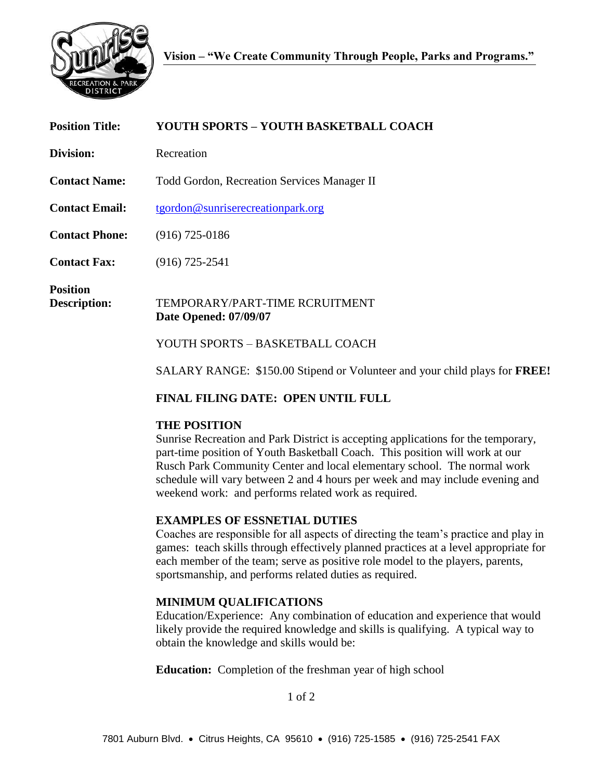

| <b>Position Title:</b>          | YOUTH SPORTS - YOUTH BASKETBALL COACH                                             |
|---------------------------------|-----------------------------------------------------------------------------------|
| Division:                       | Recreation                                                                        |
| <b>Contact Name:</b>            | <b>Todd Gordon, Recreation Services Manager II</b>                                |
| <b>Contact Email:</b>           | tgordon@sunriserecreationpark.org                                                 |
| <b>Contact Phone:</b>           | $(916)$ 725-0186                                                                  |
| <b>Contact Fax:</b>             | $(916)$ 725-2541                                                                  |
| <b>Position</b><br>Description: | TEMPORARY/PART-TIME RCRUITMENT<br><b>Date Opened: 07/09/07</b>                    |
|                                 | YOUTH SPORTS – BASKETBALL COACH                                                   |
|                                 | SALARY RANGE: \$150.00 Stipend or Volunteer and your child plays for <b>FREE!</b> |

# **FINAL FILING DATE: OPEN UNTIL FULL**

## **THE POSITION**

Sunrise Recreation and Park District is accepting applications for the temporary, part-time position of Youth Basketball Coach. This position will work at our Rusch Park Community Center and local elementary school. The normal work schedule will vary between 2 and 4 hours per week and may include evening and weekend work: and performs related work as required.

## **EXAMPLES OF ESSNETIAL DUTIES**

Coaches are responsible for all aspects of directing the team's practice and play in games: teach skills through effectively planned practices at a level appropriate for each member of the team; serve as positive role model to the players, parents, sportsmanship, and performs related duties as required.

## **MINIMUM QUALIFICATIONS**

Education/Experience: Any combination of education and experience that would likely provide the required knowledge and skills is qualifying. A typical way to obtain the knowledge and skills would be:

**Education:** Completion of the freshman year of high school

1 of 2